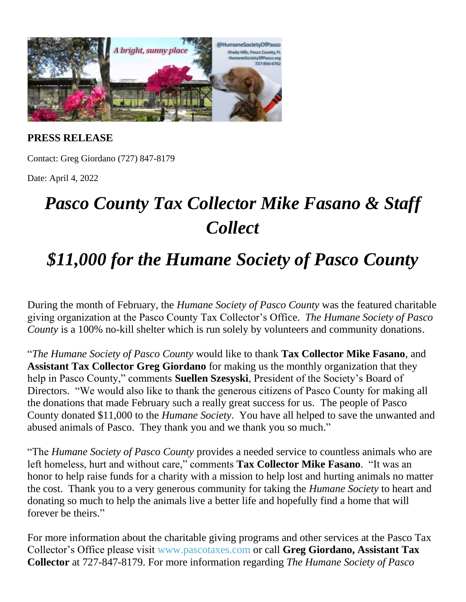

**PRESS RELEASE**

Contact: Greg Giordano (727) 847-8179

Date: April 4, 2022

## *Pasco County Tax Collector Mike Fasano & Staff Collect*

## *\$11,000 for the Humane Society of Pasco County*

During the month of February, the *Humane Society of Pasco County* was the featured charitable giving organization at the Pasco County Tax Collector's Office. *The Humane Society of Pasco County* is a 100% no-kill shelter which is run solely by volunteers and community donations.

"*The Humane Society of Pasco County* would like to thank **Tax Collector Mike Fasano**, and **Assistant Tax Collector Greg Giordano** for making us the monthly organization that they help in Pasco County," comments **Suellen Szesyski**, President of the Society's Board of Directors. "We would also like to thank the generous citizens of Pasco County for making all the donations that made February such a really great success for us. The people of Pasco County donated \$11,000 to the *Humane Society*. You have all helped to save the unwanted and abused animals of Pasco. They thank you and we thank you so much."

"The *Humane Society of Pasco County* provides a needed service to countless animals who are left homeless, hurt and without care," comments **Tax Collector Mike Fasano**. "It was an honor to help raise funds for a charity with a mission to help lost and hurting animals no matter the cost. Thank you to a very generous community for taking the *Humane Society* to heart and donating so much to help the animals live a better life and hopefully find a home that will forever be theirs."

For more information about the charitable giving programs and other services at the Pasco Tax Collector's Office please visit [www.pascotaxes.com](http://www.pascotaxes.com/) or call **Greg Giordano, Assistant Tax Collector** at 727-847-8179. For more information regarding *The Humane Society of Pasco*